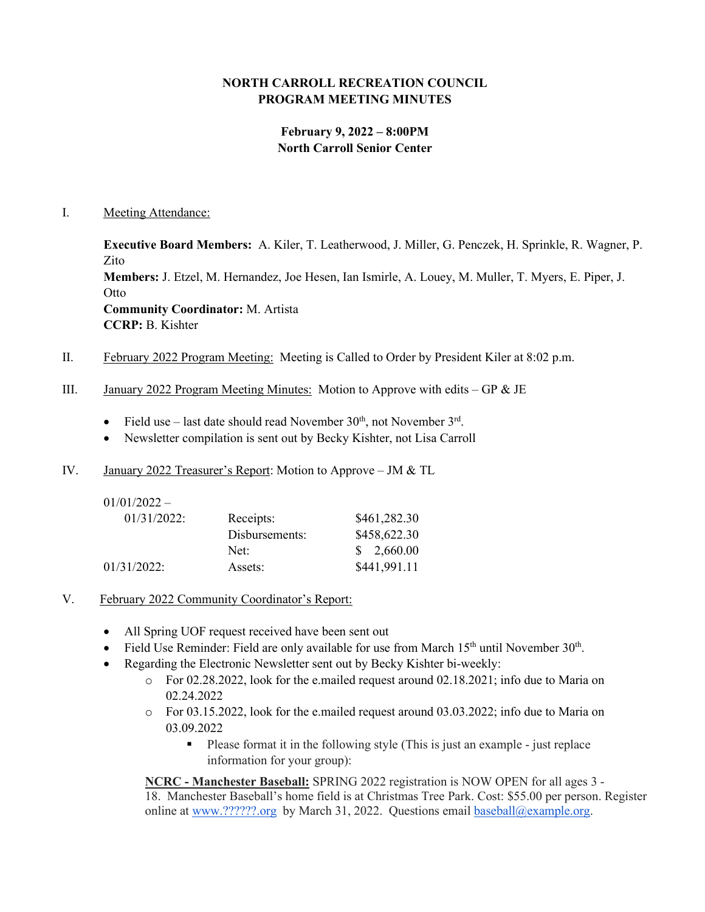# **NORTH CARROLL RECREATION COUNCIL PROGRAM MEETING MINUTES**

# **February 9, 2022 – 8:00PM North Carroll Senior Center**

#### I. Meeting Attendance:

**Executive Board Members:** A. Kiler, T. Leatherwood, J. Miller, G. Penczek, H. Sprinkle, R. Wagner, P. Zito **Members:** J. Etzel, M. Hernandez, Joe Hesen, Ian Ismirle, A. Louey, M. Muller, T. Myers, E. Piper, J. **Otto Community Coordinator:** M. Artista **CCRP:** B. Kishter

- II. February 2022 Program Meeting: Meeting is Called to Order by President Kiler at 8:02 p.m.
- III. January 2022 Program Meeting Minutes: Motion to Approve with edits GP  $\&$  JE
	- Field use last date should read November  $30<sup>th</sup>$ , not November  $3<sup>rd</sup>$ .
	- Newsletter compilation is sent out by Becky Kishter, not Lisa Carroll
- IV. January 2022 Treasurer's Report: Motion to Approve JM & TL

| $01/01/2022 -$ |                |              |
|----------------|----------------|--------------|
| $01/31/2022$ : | Receipts:      | \$461,282.30 |
|                | Disbursements: | \$458,622.30 |
|                | Net:           | \$2,660.00   |
| 01/31/2022:    | Assets:        | \$441,991.11 |

- V. February 2022 Community Coordinator's Report:
	- All Spring UOF request received have been sent out
	- Field Use Reminder: Field are only available for use from March  $15<sup>th</sup>$  until November  $30<sup>th</sup>$ .
	- Regarding the Electronic Newsletter sent out by Becky Kishter bi-weekly:
		- $\circ$  For 02.28.2022, look for the e.mailed request around 02.18.2021; info due to Maria on 02.24.2022
		- $\circ$  For 03.15.2022, look for the e.mailed request around 03.03.2022; info due to Maria on 03.09.2022
			- Please format it in the following style (This is just an example just replace information for your group):

**NCRC - Manchester Baseball:** SPRING 2022 registration is NOW OPEN for all ages 3 - 18. Manchester Baseball's home field is at Christmas Tree Park. Cost: \$55.00 per person. Register online at [www.??????.org](http://www.mayaasports.org/) by March 31, 2022. Questions email [baseball@example.org.](mailto:baseball@example.org)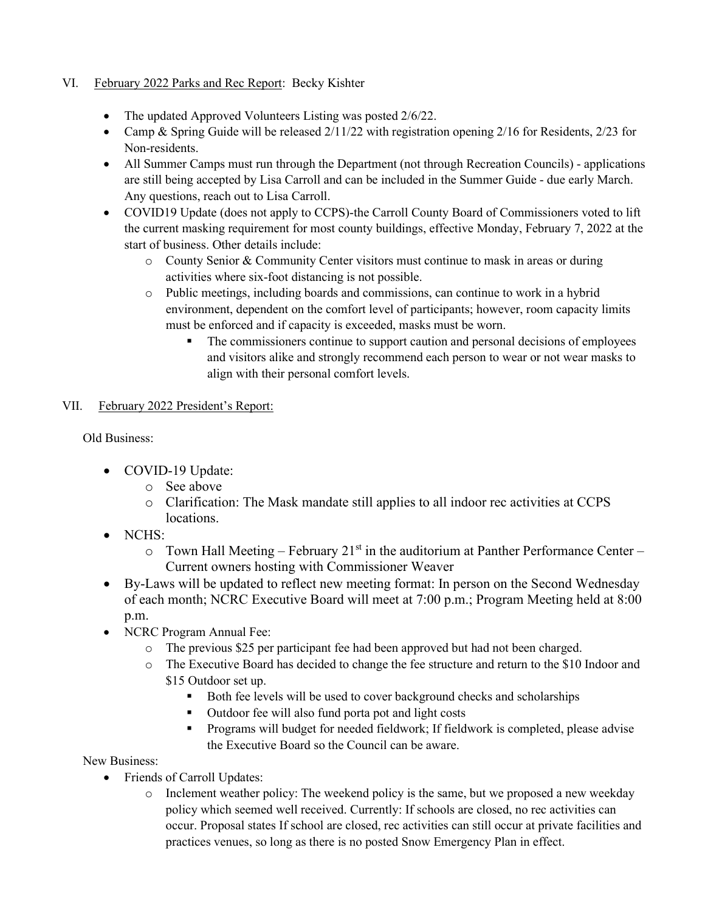# VI. February 2022 Parks and Rec Report: Becky Kishter

- The updated Approved Volunteers Listing was posted 2/6/22.
- Camp & Spring Guide will be released  $2/11/22$  with registration opening  $2/16$  for Residents,  $2/23$  for Non-residents.
- All Summer Camps must run through the Department (not through Recreation Councils) applications are still being accepted by Lisa Carroll and can be included in the Summer Guide - due early March. Any questions, reach out to Lisa Carroll.
- COVID19 Update (does not apply to CCPS)-the Carroll County Board of Commissioners voted to lift the current masking requirement for most county buildings, effective Monday, February 7, 2022 at the start of business. Other details include:
	- o County Senior & Community Center visitors must continue to mask in areas or during activities where six-foot distancing is not possible.
	- o Public meetings, including boards and commissions, can continue to work in a hybrid environment, dependent on the comfort level of participants; however, room capacity limits must be enforced and if capacity is exceeded, masks must be worn.
		- The commissioners continue to support caution and personal decisions of employees and visitors alike and strongly recommend each person to wear or not wear masks to align with their personal comfort levels.

#### VII. February 2022 President's Report:

Old Business:

- COVID-19 Update:
	- o See above
	- o Clarification: The Mask mandate still applies to all indoor rec activities at CCPS locations.
- NCHS:
	- $\circ$  Town Hall Meeting February 21<sup>st</sup> in the auditorium at Panther Performance Center Current owners hosting with Commissioner Weaver
- By-Laws will be updated to reflect new meeting format: In person on the Second Wednesday of each month; NCRC Executive Board will meet at 7:00 p.m.; Program Meeting held at 8:00 p.m.
- NCRC Program Annual Fee:
	- o The previous \$25 per participant fee had been approved but had not been charged.
	- o The Executive Board has decided to change the fee structure and return to the \$10 Indoor and \$15 Outdoor set up.
		- Both fee levels will be used to cover background checks and scholarships
		- Outdoor fee will also fund porta pot and light costs
		- Programs will budget for needed fieldwork; If fieldwork is completed, please advise the Executive Board so the Council can be aware.

New Business:

- Friends of Carroll Updates:
	- $\circ$  Inclement weather policy: The weekend policy is the same, but we proposed a new weekday policy which seemed well received. Currently: If schools are closed, no rec activities can occur. Proposal states If school are closed, rec activities can still occur at private facilities and practices venues, so long as there is no posted Snow Emergency Plan in effect.